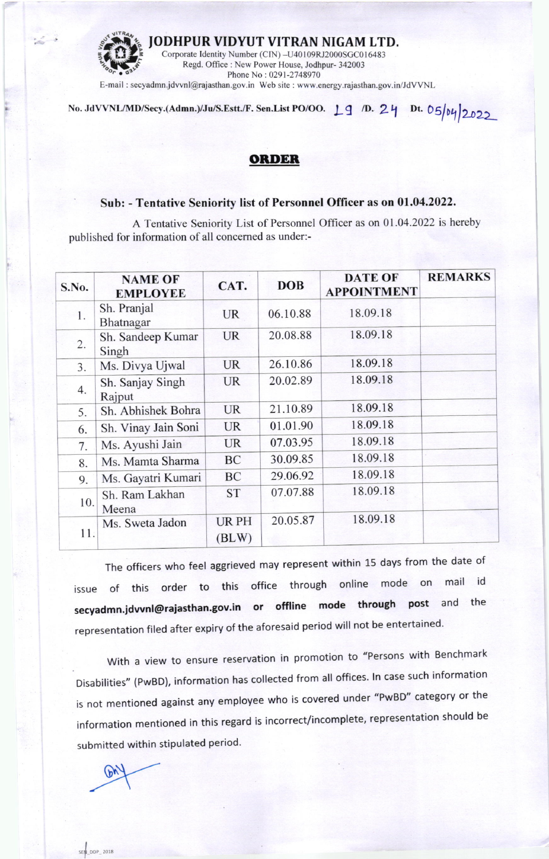

No. JdVVNL/MD/Secy.(Admn.)/Ju/S.Estt./F. Sen.List PO/OO. 19 /D. 24 Dt. 05/04/2022

## **ORDER**

## Sub: - Tentative Seniority list of Personnel Officer as on 01.04.2022.

A Tentative Seniority List of Personnel Officer as on 01.04.2022 is hereby published for information of all concerned as under:-

| S.No. | <b>NAME OF</b><br><b>EMPLOYEE</b> | CAT.                 | <b>DOB</b> | <b>DATE OF</b><br><b>APPOINTMENT</b> | <b>REMARKS</b> |
|-------|-----------------------------------|----------------------|------------|--------------------------------------|----------------|
| 1.    | Sh. Pranjal<br>Bhatnagar          | <b>UR</b>            | 06.10.88   | 18.09.18                             |                |
| 2.    | Sh. Sandeep Kumar<br>Singh        | <b>UR</b>            | 20.08.88   | 18.09.18                             |                |
| 3.    | Ms. Divya Ujwal                   | <b>UR</b>            | 26.10.86   | 18.09.18                             |                |
| 4.    | Sh. Sanjay Singh<br>Rajput        | <b>UR</b>            | 20.02.89   | 18.09.18                             |                |
| 5.    | Sh. Abhishek Bohra                | <b>UR</b>            | 21.10.89   | 18.09.18                             |                |
| 6.    | Sh. Vinay Jain Soni               | <b>UR</b>            | 01.01.90   | 18.09.18                             |                |
| 7.    | Ms. Ayushi Jain                   | <b>UR</b>            | 07.03.95   | 18.09.18                             |                |
| 8.    | Ms. Mamta Sharma                  | BC                   | 30.09.85   | 18.09.18                             |                |
| 9.    | Ms. Gayatri Kumari                | BC                   | 29.06.92   | 18.09.18                             |                |
| 10.   | Sh. Ram Lakhan<br>Meena           | <b>ST</b>            | 07.07.88   | 18.09.18                             |                |
| 11.   | Ms. Sweta Jadon                   | <b>URPH</b><br>(BLW) | 20.05.87   | 18.09.18                             |                |

The officers who feel aggrieved may represent within 15 days from the date of of this order to this office through online mode on mail id issue secyadmn.jdvvnl@rajasthan.gov.in or offline mode through post and the representation filed after expiry of the aforesaid period will not be entertained.

With a view to ensure reservation in promotion to "Persons with Benchmark Disabilities" (PwBD), information has collected from all offices. In case such information is not mentioned against any employee who is covered under "PwBD" category or the information mentioned in this regard is incorrect/incomplete, representation should be submitted within stipulated period.